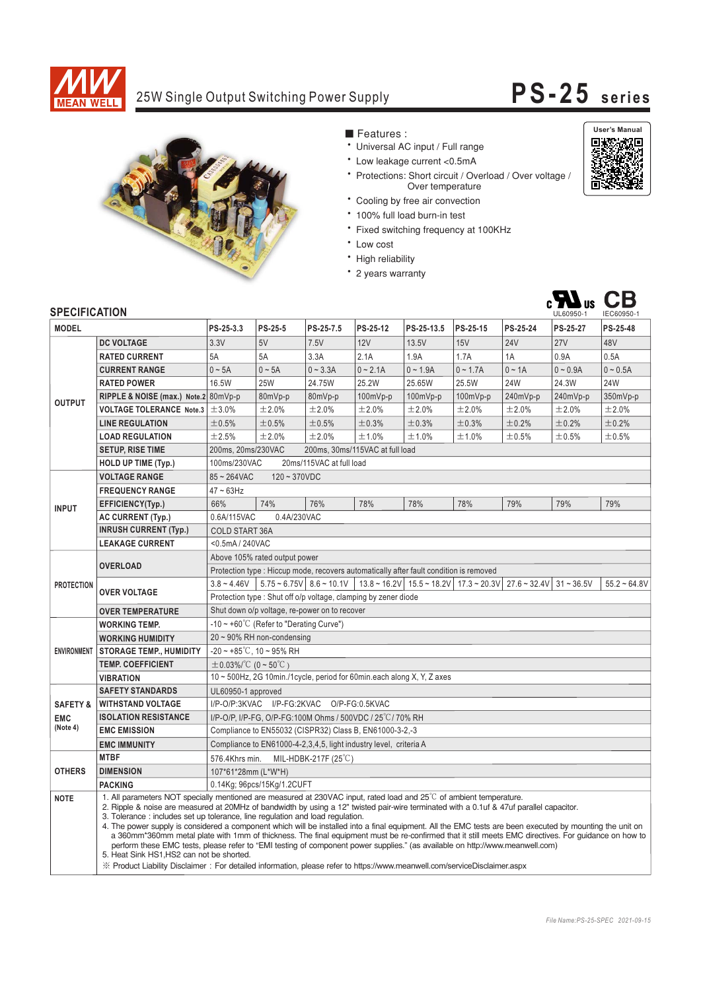

## 25W Single Output Switching Power Supply **PS-25 series**

 $c\mathbf{M}$ <sub>us</sub> CB



- Features :
- Universal AC input / Full range
- \* Low leakage current <0.5mA
- \* Protections: Short circuit / Overload / Over voltage / Over temperature
- \* Cooling by free air convection
- 100% full load burn-in test
- \* Fixed switching frequency at 100KHz
- \* Low cost
- · High reliability
- \* 2 years warranty



## **CDECIFICATION**

| <b>SPEUIFIUAI IUN</b> |                                                                                                                                                                                                                                                                                                                                                                                                                                                                                                                                                                                                                                                                                                                                                                                                                                                                                                                                                                                  |                                                                                        |                            |                               |                                                                                                                                      |            |            |             | UL60950-1    | IEC60950-1     |
|-----------------------|----------------------------------------------------------------------------------------------------------------------------------------------------------------------------------------------------------------------------------------------------------------------------------------------------------------------------------------------------------------------------------------------------------------------------------------------------------------------------------------------------------------------------------------------------------------------------------------------------------------------------------------------------------------------------------------------------------------------------------------------------------------------------------------------------------------------------------------------------------------------------------------------------------------------------------------------------------------------------------|----------------------------------------------------------------------------------------|----------------------------|-------------------------------|--------------------------------------------------------------------------------------------------------------------------------------|------------|------------|-------------|--------------|----------------|
| <b>MODEL</b>          |                                                                                                                                                                                                                                                                                                                                                                                                                                                                                                                                                                                                                                                                                                                                                                                                                                                                                                                                                                                  | PS-25-3.3                                                                              | PS-25-5                    | PS-25-7.5                     | PS-25-12                                                                                                                             | PS-25-13.5 | PS-25-15   | PS-25-24    | PS-25-27     | PS-25-48       |
| <b>OUTPUT</b>         | <b>DC VOLTAGE</b>                                                                                                                                                                                                                                                                                                                                                                                                                                                                                                                                                                                                                                                                                                                                                                                                                                                                                                                                                                | 3.3V                                                                                   | 5V                         | 7.5V                          | 12V                                                                                                                                  | 13.5V      | 15V        | <b>24V</b>  | <b>27V</b>   | 48V            |
|                       | <b>RATED CURRENT</b>                                                                                                                                                                                                                                                                                                                                                                                                                                                                                                                                                                                                                                                                                                                                                                                                                                                                                                                                                             | 5A                                                                                     | 5A                         | 3.3A                          | 2.1A                                                                                                                                 | 1.9A       | 1.7A       | 1A          | 0.9A         | 0.5A           |
|                       | <b>CURRENT RANGE</b>                                                                                                                                                                                                                                                                                                                                                                                                                                                                                                                                                                                                                                                                                                                                                                                                                                                                                                                                                             | $0 \sim 5A$                                                                            | $0 \sim 5A$                | $0 - 3.3A$                    | $0 - 2.1A$                                                                                                                           | $0 - 1.9A$ | $0 - 1.7A$ | $0 \sim 1A$ | $0 - 0.9A$   | $0 - 0.5A$     |
|                       | <b>RATED POWER</b>                                                                                                                                                                                                                                                                                                                                                                                                                                                                                                                                                                                                                                                                                                                                                                                                                                                                                                                                                               | 16.5W                                                                                  | <b>25W</b>                 | 24.75W                        | 25.2W                                                                                                                                | 25.65W     | 25.5W      | <b>24W</b>  | 24.3W        | <b>24W</b>     |
|                       | RIPPLE & NOISE (max.) Note.2 80mVp-p                                                                                                                                                                                                                                                                                                                                                                                                                                                                                                                                                                                                                                                                                                                                                                                                                                                                                                                                             |                                                                                        | 80mVp-p                    | 80mVp-p                       | 100mVp-p                                                                                                                             | 100mVp-p   | $100mVp-p$ | 240mVp-p    | 240mVp-p     | 350mVp-p       |
|                       | <b>VOLTAGE TOLERANCE Note.3</b>                                                                                                                                                                                                                                                                                                                                                                                                                                                                                                                                                                                                                                                                                                                                                                                                                                                                                                                                                  | ±3.0%                                                                                  | ±2.0%                      | ±2.0%                         | ±2.0%                                                                                                                                | ±2.0%      | ±2.0%      | $\pm 2.0\%$ | ±2.0%        | ±2.0%          |
|                       | <b>LINE REGULATION</b>                                                                                                                                                                                                                                                                                                                                                                                                                                                                                                                                                                                                                                                                                                                                                                                                                                                                                                                                                           | ±0.5%                                                                                  | ±0.5%                      | ±0.5%                         | ±0.3%                                                                                                                                | ±0.3%      | ±0.3%      | ±0.2%       | ±0.2%        | ±0.2%          |
|                       | <b>LOAD REGULATION</b>                                                                                                                                                                                                                                                                                                                                                                                                                                                                                                                                                                                                                                                                                                                                                                                                                                                                                                                                                           | ±2.5%                                                                                  | ±2.0%                      | ±2.0%                         | ±1.0%                                                                                                                                | ±1.0%      | ±1.0%      | ±0.5%       | ±0.5%        | $\pm 0.5\%$    |
|                       | <b>SETUP, RISE TIME</b>                                                                                                                                                                                                                                                                                                                                                                                                                                                                                                                                                                                                                                                                                                                                                                                                                                                                                                                                                          | 200ms, 20ms/230VAC<br>200ms, 30ms/115VAC at full load                                  |                            |                               |                                                                                                                                      |            |            |             |              |                |
|                       | <b>HOLD UP TIME (Typ.)</b>                                                                                                                                                                                                                                                                                                                                                                                                                                                                                                                                                                                                                                                                                                                                                                                                                                                                                                                                                       | 100ms/230VAC<br>20ms/115VAC at full load                                               |                            |                               |                                                                                                                                      |            |            |             |              |                |
|                       | <b>VOLTAGE RANGE</b>                                                                                                                                                                                                                                                                                                                                                                                                                                                                                                                                                                                                                                                                                                                                                                                                                                                                                                                                                             | $85 - 264$ VAC<br>$120 - 370VDC$                                                       |                            |                               |                                                                                                                                      |            |            |             |              |                |
| <b>INPUT</b>          | <b>FREQUENCY RANGE</b>                                                                                                                                                                                                                                                                                                                                                                                                                                                                                                                                                                                                                                                                                                                                                                                                                                                                                                                                                           | $47 \sim 63$ Hz                                                                        |                            |                               |                                                                                                                                      |            |            |             |              |                |
|                       | EFFICIENCY(Typ.)                                                                                                                                                                                                                                                                                                                                                                                                                                                                                                                                                                                                                                                                                                                                                                                                                                                                                                                                                                 | 66%                                                                                    | 74%                        | 76%                           | 78%                                                                                                                                  | 78%        | 78%        | 79%         | 79%          | 79%            |
|                       | <b>AC CURRENT (Typ.)</b>                                                                                                                                                                                                                                                                                                                                                                                                                                                                                                                                                                                                                                                                                                                                                                                                                                                                                                                                                         | 0.6A/115VAC<br>0.4A/230VAC                                                             |                            |                               |                                                                                                                                      |            |            |             |              |                |
|                       | <b>INRUSH CURRENT (Typ.)</b>                                                                                                                                                                                                                                                                                                                                                                                                                                                                                                                                                                                                                                                                                                                                                                                                                                                                                                                                                     | <b>COLD START 36A</b>                                                                  |                            |                               |                                                                                                                                      |            |            |             |              |                |
|                       | <b>LEAKAGE CURRENT</b>                                                                                                                                                                                                                                                                                                                                                                                                                                                                                                                                                                                                                                                                                                                                                                                                                                                                                                                                                           | <0.5mA/240VAC                                                                          |                            |                               |                                                                                                                                      |            |            |             |              |                |
| <b>PROTECTION</b>     | <b>OVERLOAD</b>                                                                                                                                                                                                                                                                                                                                                                                                                                                                                                                                                                                                                                                                                                                                                                                                                                                                                                                                                                  | Above 105% rated output power                                                          |                            |                               |                                                                                                                                      |            |            |             |              |                |
|                       |                                                                                                                                                                                                                                                                                                                                                                                                                                                                                                                                                                                                                                                                                                                                                                                                                                                                                                                                                                                  | Protection type : Hiccup mode, recovers automatically after fault condition is removed |                            |                               |                                                                                                                                      |            |            |             |              |                |
|                       | <b>OVER VOLTAGE</b>                                                                                                                                                                                                                                                                                                                                                                                                                                                                                                                                                                                                                                                                                                                                                                                                                                                                                                                                                              | $3.8 - 4.46V$                                                                          |                            |                               | $5.75 \approx 6.75V$ 8.6 $\approx 10.1V$   13.8 $\approx 16.2V$   15.5 $\approx 18.2V$   17.3 $\approx 20.3V$   27.6 $\approx 32.4V$ |            |            |             | $31 - 36.5V$ | $55.2 - 64.8V$ |
|                       |                                                                                                                                                                                                                                                                                                                                                                                                                                                                                                                                                                                                                                                                                                                                                                                                                                                                                                                                                                                  | Protection type: Shut off o/p voltage, clamping by zener diode                         |                            |                               |                                                                                                                                      |            |            |             |              |                |
|                       | <b>OVER TEMPERATURE</b>                                                                                                                                                                                                                                                                                                                                                                                                                                                                                                                                                                                                                                                                                                                                                                                                                                                                                                                                                          | Shut down o/p voltage, re-power on to recover                                          |                            |                               |                                                                                                                                      |            |            |             |              |                |
| <b>ENVIRONMENT</b>    | <b>WORKING TEMP.</b>                                                                                                                                                                                                                                                                                                                                                                                                                                                                                                                                                                                                                                                                                                                                                                                                                                                                                                                                                             | $-10 \sim +60^{\circ}$ C (Refer to "Derating Curve")                                   |                            |                               |                                                                                                                                      |            |            |             |              |                |
|                       | <b>WORKING HUMIDITY</b>                                                                                                                                                                                                                                                                                                                                                                                                                                                                                                                                                                                                                                                                                                                                                                                                                                                                                                                                                          | $20 \sim 90\%$ RH non-condensing                                                       |                            |                               |                                                                                                                                      |            |            |             |              |                |
|                       | <b>STORAGE TEMP., HUMIDITY</b>                                                                                                                                                                                                                                                                                                                                                                                                                                                                                                                                                                                                                                                                                                                                                                                                                                                                                                                                                   | $-20 \sim +85^{\circ}$ C, 10 ~ 95% RH                                                  |                            |                               |                                                                                                                                      |            |            |             |              |                |
|                       | <b>TEMP. COEFFICIENT</b>                                                                                                                                                                                                                                                                                                                                                                                                                                                                                                                                                                                                                                                                                                                                                                                                                                                                                                                                                         | $\pm$ 0.03%/°C (0 ~ 50°C)                                                              |                            |                               |                                                                                                                                      |            |            |             |              |                |
|                       | <b>VIBRATION</b>                                                                                                                                                                                                                                                                                                                                                                                                                                                                                                                                                                                                                                                                                                                                                                                                                                                                                                                                                                 | 10 ~ 500Hz, 2G 10min./1cycle, period for 60min.each along X, Y, Z axes                 |                            |                               |                                                                                                                                      |            |            |             |              |                |
|                       | <b>SAFETY STANDARDS</b><br>UL60950-1 approved                                                                                                                                                                                                                                                                                                                                                                                                                                                                                                                                                                                                                                                                                                                                                                                                                                                                                                                                    |                                                                                        |                            |                               |                                                                                                                                      |            |            |             |              |                |
| <b>SAFETY &amp;</b>   | <b>WITHSTAND VOLTAGE</b>                                                                                                                                                                                                                                                                                                                                                                                                                                                                                                                                                                                                                                                                                                                                                                                                                                                                                                                                                         | I/P-O/P:3KVAC I/P-FG:2KVAC O/P-FG:0.5KVAC                                              |                            |                               |                                                                                                                                      |            |            |             |              |                |
| <b>EMC</b>            | <b>ISOLATION RESISTANCE</b>                                                                                                                                                                                                                                                                                                                                                                                                                                                                                                                                                                                                                                                                                                                                                                                                                                                                                                                                                      | I/P-O/P. I/P-FG. O/P-FG:100M Ohms / 500VDC / 25 °C / 70% RH                            |                            |                               |                                                                                                                                      |            |            |             |              |                |
| (Note 4)              | <b>EMC EMISSION</b>                                                                                                                                                                                                                                                                                                                                                                                                                                                                                                                                                                                                                                                                                                                                                                                                                                                                                                                                                              | Compliance to EN55032 (CISPR32) Class B, EN61000-3-2,-3                                |                            |                               |                                                                                                                                      |            |            |             |              |                |
|                       | <b>EMC IMMUNITY</b>                                                                                                                                                                                                                                                                                                                                                                                                                                                                                                                                                                                                                                                                                                                                                                                                                                                                                                                                                              | Compliance to EN61000-4-2, 3, 4, 5, light industry level, criteria A                   |                            |                               |                                                                                                                                      |            |            |             |              |                |
| <b>OTHERS</b>         | <b>MTBF</b>                                                                                                                                                                                                                                                                                                                                                                                                                                                                                                                                                                                                                                                                                                                                                                                                                                                                                                                                                                      | 576.4Khrs min.                                                                         |                            | MIL-HDBK-217F $(25^{\circ}C)$ |                                                                                                                                      |            |            |             |              |                |
|                       | <b>DIMENSION</b>                                                                                                                                                                                                                                                                                                                                                                                                                                                                                                                                                                                                                                                                                                                                                                                                                                                                                                                                                                 | 107*61*28mm (L*W*H)                                                                    |                            |                               |                                                                                                                                      |            |            |             |              |                |
|                       | <b>PACKING</b>                                                                                                                                                                                                                                                                                                                                                                                                                                                                                                                                                                                                                                                                                                                                                                                                                                                                                                                                                                   |                                                                                        | 0.14Kg; 96pcs/15Kg/1.2CUFT |                               |                                                                                                                                      |            |            |             |              |                |
| <b>NOTE</b>           | 1. All parameters NOT specially mentioned are measured at 230VAC input, rated load and 25°C of ambient temperature.<br>2. Ripple & noise are measured at 20MHz of bandwidth by using a 12" twisted pair-wire terminated with a 0.1uf & 47uf parallel capacitor.<br>3. Tolerance: includes set up tolerance, line regulation and load regulation.<br>4. The power supply is considered a component which will be installed into a final equipment. All the EMC tests are been executed by mounting the unit on<br>a 360mm*360mm metal plate with 1mm of thickness. The final equipment must be re-confirmed that it still meets EMC directives. For quidance on how to<br>perform these EMC tests, please refer to "EMI testing of component power supplies." (as available on http://www.meanwell.com)<br>5. Heat Sink HS1, HS2 can not be shorted.<br>※ Product Liability Disclaimer: For detailed information, please refer to https://www.meanwell.com/serviceDisclaimer.aspx |                                                                                        |                            |                               |                                                                                                                                      |            |            |             |              |                |